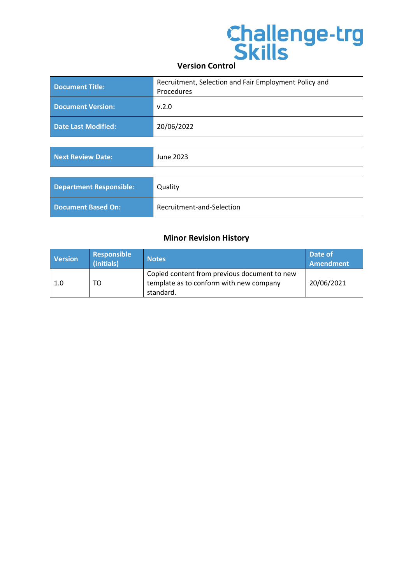| Document Title:            | Recruitment, Selection and Fair Employment Policy and<br>Procedures |
|----------------------------|---------------------------------------------------------------------|
| Document Version:          | v.2.0                                                               |
| <b>Date Last Modified:</b> | 20/06/2022                                                          |

| Next Review Date:              | June 2023                 |
|--------------------------------|---------------------------|
|                                |                           |
| <b>Department Responsible:</b> | Quality                   |
| <b>Document Based On:</b>      | Recruitment-and-Selection |

## **Minor Revision History**

| <b>Version</b> | Responsible<br>(initials) | <b>Notes</b>                                                                                         | Date of<br>Amendment |
|----------------|---------------------------|------------------------------------------------------------------------------------------------------|----------------------|
| 1.0            | TO                        | Copied content from previous document to new<br>template as to conform with new company<br>standard. | 20/06/2021           |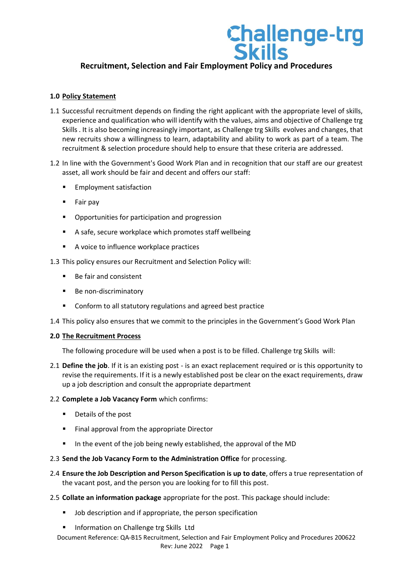## **Recruitment, Selection and Fair Employment Policy and Procedures**

## **1.0 Policy Statement**

- 1.1 Successful recruitment depends on finding the right applicant with the appropriate level of skills, experience and qualification who will identify with the values, aims and objective of Challenge trg Skills . It is also becoming increasingly important, as Challenge trg Skills evolves and changes, that new recruits show a willingness to learn, adaptability and ability to work as part of a team. The recruitment & selection procedure should help to ensure that these criteria are addressed.
- 1.2 In line with the Government's Good Work Plan and in recognition that our staff are our greatest asset, all work should be fair and decent and offers our staff:
	- Employment satisfaction
	- Fair pay
	- Opportunities for participation and progression
	- A safe, secure workplace which promotes staff wellbeing
	- A voice to influence workplace practices
- 1.3 This policy ensures our Recruitment and Selection Policy will:
	- Be fair and consistent
	- Be non-discriminatory
	- Conform to all statutory regulations and agreed best practice
- 1.4 This policy also ensures that we commit to the principles in the Government's Good Work Plan

## **2.0 The Recruitment Process**

The following procedure will be used when a post is to be filled. Challenge trg Skills will:

2.1 **Define the job**. If it is an existing post - is an exact replacement required or is this opportunity to revise the requirements. If it is a newly established post be clear on the exact requirements, draw up a job description and consult the appropriate department

## 2.2 **Complete a Job Vacancy Form** which confirms:

- Details of the post
- Final approval from the appropriate Director
- In the event of the job being newly established, the approval of the MD
- 2.3 **Send the Job Vacancy Form to the Administration Office** for processing.
- 2.4 **Ensure the Job Description and Person Specification is up to date**, offers a true representation of the vacant post, and the person you are looking for to fill this post.
- 2.5 **Collate an information package** appropriate for the post. This package should include:
	- Job description and if appropriate, the person specification
	- Information on Challenge trg Skills Ltd
	- Document Reference: QA-B15 Recruitment, Selection and Fair Employment Policy and Procedures 200622 Rev: June 2022 Page 1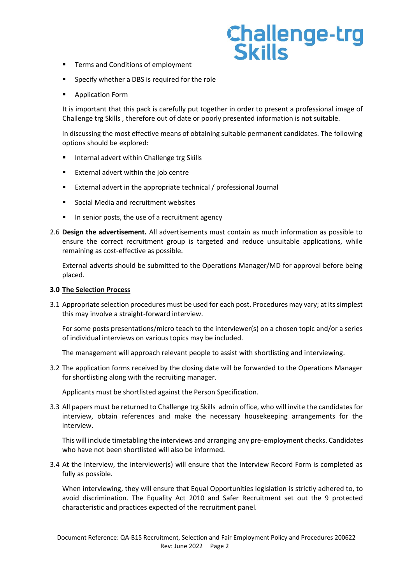- Terms and Conditions of employment
- Specify whether a DBS is required for the role
- Application Form

It is important that this pack is carefully put together in order to present a professional image of Challenge trg Skills , therefore out of date or poorly presented information is not suitable.

In discussing the most effective means of obtaining suitable permanent candidates. The following options should be explored:

- Internal advert within Challenge trg Skills
- External advert within the job centre
- External advert in the appropriate technical / professional Journal
- Social Media and recruitment websites
- In senior posts, the use of a recruitment agency
- 2.6 **Design the advertisement.** All advertisements must contain as much information as possible to ensure the correct recruitment group is targeted and reduce unsuitable applications, while remaining as cost-effective as possible.

External adverts should be submitted to the Operations Manager/MD for approval before being placed.

## **3.0 The Selection Process**

3.1 Appropriate selection procedures must be used for each post. Procedures may vary; at its simplest this may involve a straight-forward interview.

For some posts presentations/micro teach to the interviewer(s) on a chosen topic and/or a series of individual interviews on various topics may be included.

The management will approach relevant people to assist with shortlisting and interviewing.

3.2 The application forms received by the closing date will be forwarded to the Operations Manager for shortlisting along with the recruiting manager.

Applicants must be shortlisted against the Person Specification.

3.3 All papers must be returned to Challenge trg Skills admin office, who will invite the candidates for interview, obtain references and make the necessary housekeeping arrangements for the interview.

This will include timetabling the interviews and arranging any pre-employment checks. Candidates who have not been shortlisted will also be informed.

3.4 At the interview, the interviewer(s) will ensure that the Interview Record Form is completed as fully as possible.

When interviewing, they will ensure that Equal Opportunities legislation is strictly adhered to, to avoid discrimination. The Equality Act 2010 and Safer Recruitment set out the 9 protected characteristic and practices expected of the recruitment panel.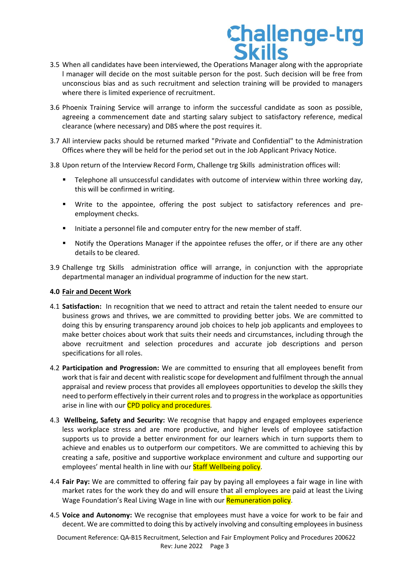- 3.5 When all candidates have been interviewed, the Operations Manager along with the appropriate l manager will decide on the most suitable person for the post. Such decision will be free from unconscious bias and as such recruitment and selection training will be provided to managers where there is limited experience of recruitment.
- 3.6 Phoenix Training Service will arrange to inform the successful candidate as soon as possible, agreeing a commencement date and starting salary subject to satisfactory reference, medical clearance (where necessary) and DBS where the post requires it.
- 3.7 All interview packs should be returned marked "Private and Confidential" to the Administration Offices where they will be held for the period set out in the Job Applicant Privacy Notice.
- 3.8 Upon return of the Interview Record Form, Challenge trg Skills administration offices will:
	- **•** Telephone all unsuccessful candidates with outcome of interview within three working day, this will be confirmed in writing.
	- Write to the appointee, offering the post subject to satisfactory references and preemployment checks.
	- Initiate a personnel file and computer entry for the new member of staff.
	- Notify the Operations Manager if the appointee refuses the offer, or if there are any other details to be cleared.
- 3.9 Challenge trg Skills administration office will arrange, in conjunction with the appropriate departmental manager an individual programme of induction for the new start.

## **4.0 Fair and Decent Work**

- 4.1 **Satisfaction:** In recognition that we need to attract and retain the talent needed to ensure our business grows and thrives, we are committed to providing better jobs. We are committed to doing this by ensuring transparency around job choices to help job applicants and employees to make better choices about work that suits their needs and circumstances, including through the above recruitment and selection procedures and accurate job descriptions and person specifications for all roles.
- 4.2 **Participation and Progression:** We are committed to ensuring that all employees benefit from work that is fair and decent with realistic scope for development and fulfilment through the annual appraisal and review process that provides all employees opportunities to develop the skills they need to perform effectively in their current roles and to progress in the workplace as opportunities arise in line with our CPD policy and procedures.
- 4.3 **Wellbeing, Safety and Security:** We recognise that happy and engaged employees experience less workplace stress and are more productive, and higher levels of employee satisfaction supports us to provide a better environment for our learners which in turn supports them to achieve and enables us to outperform our competitors. We are committed to achieving this by creating a safe, positive and supportive workplace environment and culture and supporting our employees' mental health in line with our **Staff Wellbeing policy**.
- 4.4 **Fair Pay:** We are committed to offering fair pay by paying all employees a fair wage in line with market rates for the work they do and will ensure that all employees are paid at least the Living Wage Foundation's Real Living Wage in line with our Remuneration policy.
- 4.5 **Voice and Autonomy:** We recognise that employees must have a voice for work to be fair and decent. We are committed to doing this by actively involving and consulting employees in business

Document Reference: QA-B15 Recruitment, Selection and Fair Employment Policy and Procedures 200622 Rev: June 2022 Page 3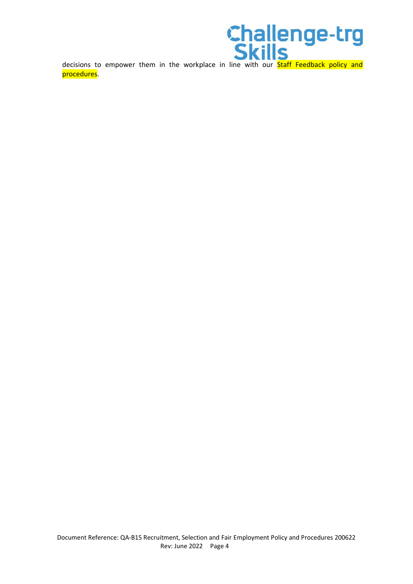procedures.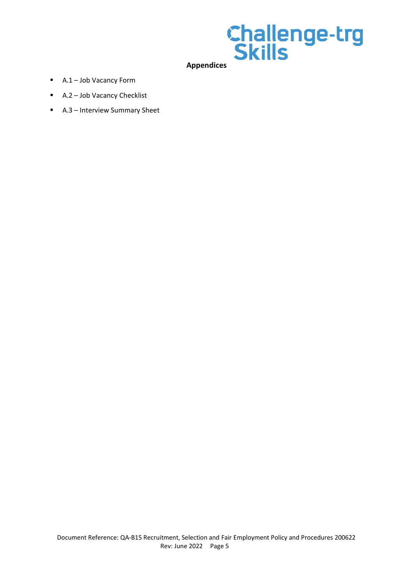

- A.1 Job Vacancy Form
- A.2 Job Vacancy Checklist
- A.3 Interview Summary Sheet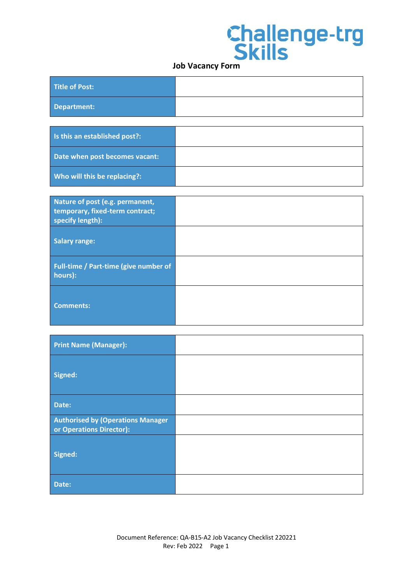| Title of Post: |  |
|----------------|--|
| Department:    |  |
|                |  |

| Is this an established post?:  |  |
|--------------------------------|--|
| Date when post becomes vacant: |  |
| Who will this be replacing?:   |  |

| Nature of post (e.g. permanent,<br>temporary, fixed-term contract;<br>specify length): |  |
|----------------------------------------------------------------------------------------|--|
| <b>Salary range:</b>                                                                   |  |
| Full-time / Part-time (give number of<br>hours):                                       |  |
| Comments:                                                                              |  |

| <b>Print Name (Manager):</b>                                         |  |
|----------------------------------------------------------------------|--|
| Signed:                                                              |  |
| Date:                                                                |  |
| <b>Authorised by (Operations Manager</b><br>or Operations Director): |  |
| Signed:                                                              |  |
| Date:                                                                |  |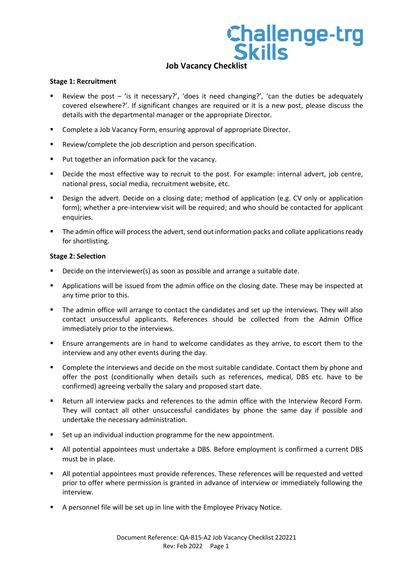## **Job Vacancy Checklist**

## **Stage 1: Recruitment**

- Review the post 'is it necessary?', 'does it need changing?', 'can the duties be adequately covered elsewhere?'. If significant changes are required or it is a new post, please discuss the details with the departmental manager or the appropriate Director.
- Complete a Job Vacancy Form, ensuring approval of appropriate Director.
- Review/complete the job description and person specification.
- Put together an information pack for the vacancy.
- **•** Decide the most effective way to recruit to the post. For example: internal advert, job centre, national press, social media, recruitment website, etc.
- Design the advert. Decide on a closing date; method of application (e.g. CV only or application form); whether a pre-interview visit will be required; and who should be contacted for applicant enquiries.
- The admin office will process the advert, send out information packs and collate applications ready for shortlisting.

## **Stage 2: Selection**

- Decide on the interviewer(s) as soon as possible and arrange a suitable date.
- Applications will be issued from the admin office on the closing date. These may be inspected at any time prior to this.
- The admin office will arrange to contact the candidates and set up the interviews. They will also contact unsuccessful applicants. References should be collected from the Admin Office immediately prior to the interviews.
- **E** Ensure arrangements are in hand to welcome candidates as they arrive, to escort them to the interview and any other events during the day.
- Complete the interviews and decide on the most suitable candidate. Contact them by phone and offer the post (conditionally when details such as references, medical, DBS etc. have to be confirmed) agreeing verbally the salary and proposed start date.
- Return all interview packs and references to the admin office with the Interview Record Form. They will contact all other unsuccessful candidates by phone the same day if possible and undertake the necessary administration.
- Set up an individual induction programme for the new appointment.
- All potential appointees must undertake a DBS. Before employment is confirmed a current DBS must be in place.
- All potential appointees must provide references. These references will be requested and vetted prior to offer where permission is granted in advance of interview or immediately following the interview.
- A personnel file will be set up in line with the Employee Privacy Notice.